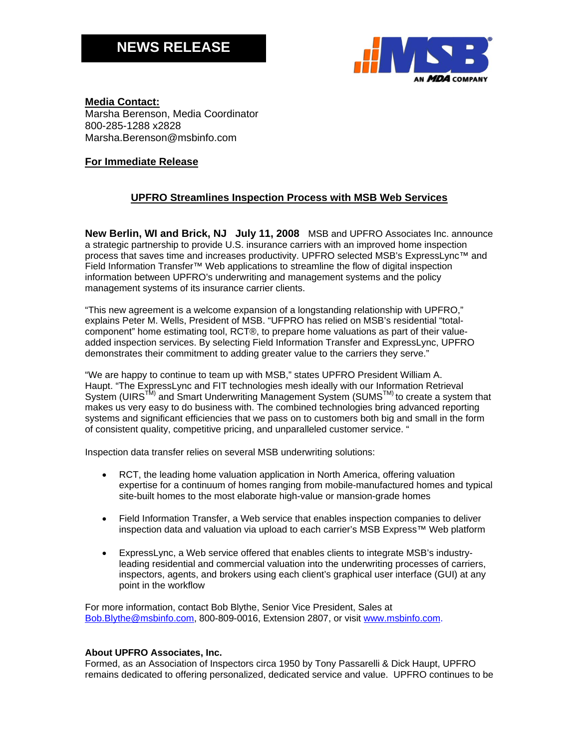# **NEWS RELEASE**



## **Media Contact:**  Marsha Berenson, Media Coordinator 800-285-1288 x2828 Marsha.Berenson@msbinfo.com

## **For Immediate Release**

## **UPFRO Streamlines Inspection Process with MSB Web Services**

**New Berlin, WI and Brick, NJ July 11, 2008** MSB and UPFRO Associates Inc. announce a strategic partnership to provide U.S. insurance carriers with an improved home inspection process that saves time and increases productivity. UPFRO selected MSB's ExpressLync™ and Field Information Transfer™ Web applications to streamline the flow of digital inspection information between UPFRO's underwriting and management systems and the policy management systems of its insurance carrier clients.

"This new agreement is a welcome expansion of a longstanding relationship with UPFRO," explains Peter M. Wells, President of MSB. "UFPRO has relied on MSB's residential "totalcomponent" home estimating tool, RCT®, to prepare home valuations as part of their valueadded inspection services. By selecting Field Information Transfer and ExpressLync, UPFRO demonstrates their commitment to adding greater value to the carriers they serve."

"We are happy to continue to team up with MSB," states UPFRO President William A. Haupt. "The ExpressLync and FIT technologies mesh ideally with our Information Retrieval System (UIRS<sup>TM)</sup> and Smart Underwriting Management System (SUMS<sup>TM)</sup> to create a system that makes us very easy to do business with. The combined technologies bring advanced reporting systems and significant efficiencies that we pass on to customers both big and small in the form of consistent quality, competitive pricing, and unparalleled customer service. "

Inspection data transfer relies on several MSB underwriting solutions:

- RCT, the leading home valuation application in North America, offering valuation expertise for a continuum of homes ranging from mobile-manufactured homes and typical site-built homes to the most elaborate high-value or mansion-grade homes
- Field Information Transfer, a Web service that enables inspection companies to deliver inspection data and valuation via upload to each carrier's MSB Express™ Web platform
- ExpressLync, a Web service offered that enables clients to integrate MSB's industryleading residential and commercial valuation into the underwriting processes of carriers, inspectors, agents, and brokers using each client's graphical user interface (GUI) at any point in the workflow

For more information, contact Bob Blythe, Senior Vice President, Sales at Bob.Blythe@msbinfo.com, 800-809-0016, Extension 2807, or visit www.msbinfo.com.

#### **About UPFRO Associates, Inc.**

Formed, as an Association of Inspectors circa 1950 by Tony Passarelli & Dick Haupt, UPFRO remains dedicated to offering personalized, dedicated service and value. UPFRO continues to be